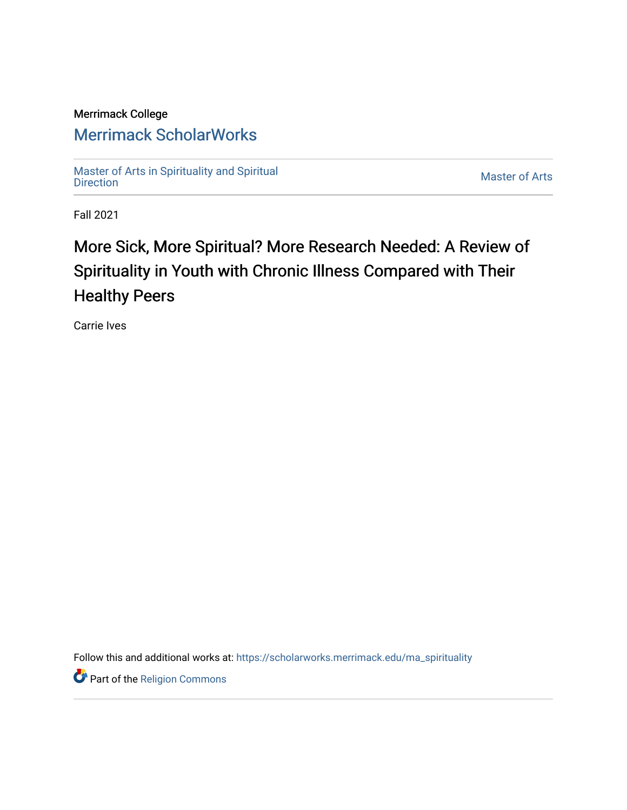### Merrimack College

## [Merrimack ScholarWorks](https://scholarworks.merrimack.edu/)

[Master of Arts in Spirituality and Spiritual](https://scholarworks.merrimack.edu/ma_spirituality)  [Direction](https://scholarworks.merrimack.edu/ma_spirituality) [Master of Arts](https://scholarworks.merrimack.edu/ma) 

Fall 2021

# More Sick, More Spiritual? More Research Needed: A Review of Spirituality in Youth with Chronic Illness Compared with Their Healthy Peers

Carrie Ives

Follow this and additional works at: [https://scholarworks.merrimack.edu/ma\\_spirituality](https://scholarworks.merrimack.edu/ma_spirituality?utm_source=scholarworks.merrimack.edu%2Fma_spirituality%2F2&utm_medium=PDF&utm_campaign=PDFCoverPages)

Part of the [Religion Commons](http://network.bepress.com/hgg/discipline/538?utm_source=scholarworks.merrimack.edu%2Fma_spirituality%2F2&utm_medium=PDF&utm_campaign=PDFCoverPages)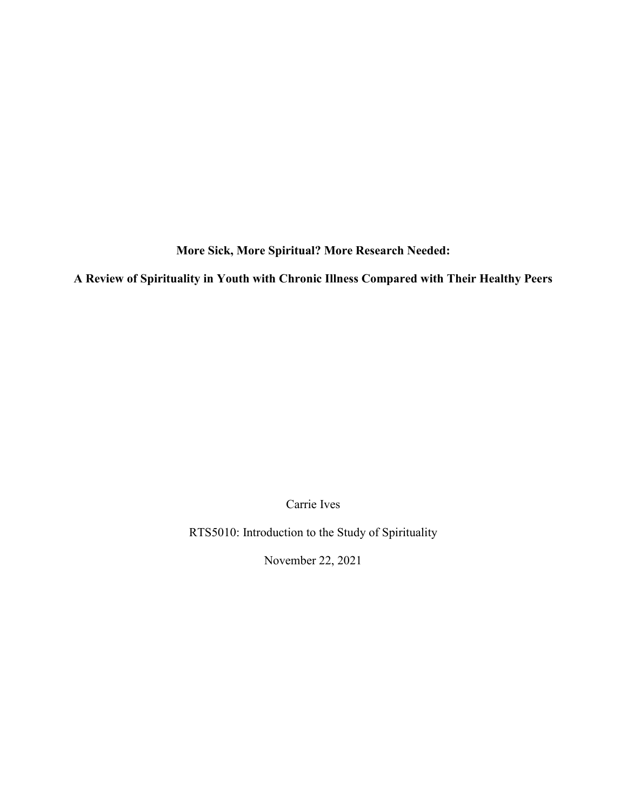**More Sick, More Spiritual? More Research Needed:**

**A Review of Spirituality in Youth with Chronic Illness Compared with Their Healthy Peers**

Carrie Ives

RTS5010: Introduction to the Study of Spirituality

November 22, 2021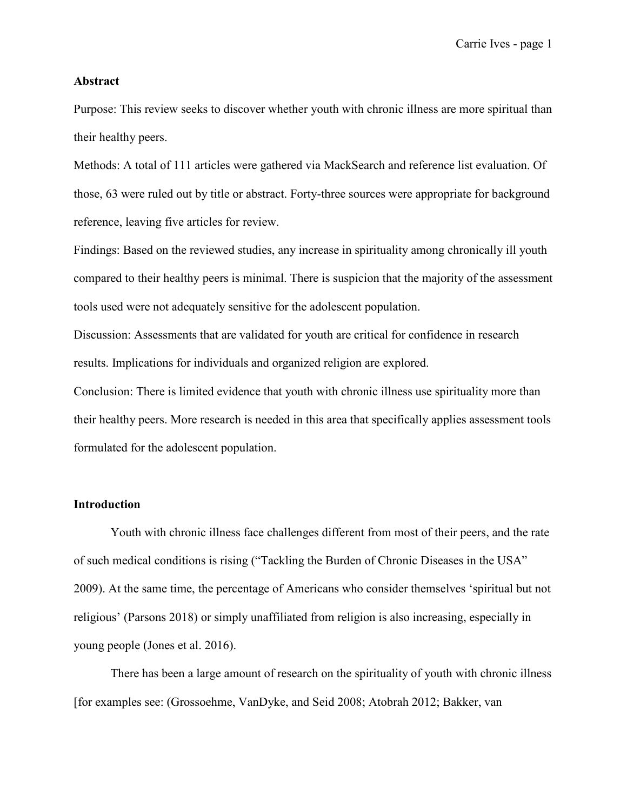#### **Abstract**

Purpose: This review seeks to discover whether youth with chronic illness are more spiritual than their healthy peers.

Methods: A total of 111 articles were gathered via MackSearch and reference list evaluation. Of those, 63 were ruled out by title or abstract. Forty-three sources were appropriate for background reference, leaving five articles for review.

Findings: Based on the reviewed studies, any increase in spirituality among chronically ill youth compared to their healthy peers is minimal. There is suspicion that the majority of the assessment tools used were not adequately sensitive for the adolescent population.

Discussion: Assessments that are validated for youth are critical for confidence in research results. Implications for individuals and organized religion are explored.

Conclusion: There is limited evidence that youth with chronic illness use spirituality more than their healthy peers. More research is needed in this area that specifically applies assessment tools formulated for the adolescent population.

#### **Introduction**

Youth with chronic illness face challenges different from most of their peers, and the rate of such medical conditions is rising [\("Tackling the Burden of Chronic Diseases in the USA"](https://paperpile.com/c/97wbJC/xwHA)  [2009\).](https://paperpile.com/c/97wbJC/xwHA) At the same time, the percentage of Americans who consider themselves 'spiritual but not religious' [\(Parsons 2018\)](https://paperpile.com/c/97wbJC/ZIAd) or simply unaffiliated from religion is also increasing, especially in young people [\(Jones et al. 2016\).](https://paperpile.com/c/97wbJC/AK7X)

There has been a large amount of research on the spirituality of youth with chronic illness [for examples see: [\(Grossoehme, VanDyke, and Seid 2008; Atobrah 2012; Bakker, van](https://paperpile.com/c/97wbJC/0rOe+bqAz+IW1f+hFDy)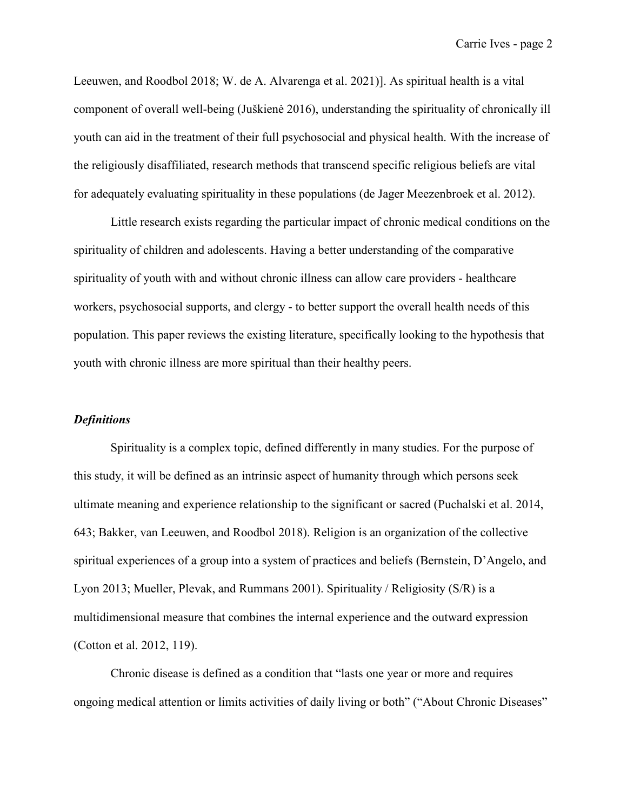[Leeuwen, and Roodbol 2018; W. de A. Alvarenga et al. 2021\)\]](https://paperpile.com/c/97wbJC/0rOe+bqAz+IW1f+hFDy). As spiritual health is a vital component of overall well-being [\(Juškienė 2016\)](https://paperpile.com/c/97wbJC/Sla6), understanding the spirituality of chronically ill youth can aid in the treatment of their full psychosocial and physical health. With the increase of the religiously disaffiliated, research methods that transcend specific religious beliefs are vital for adequately evaluating spirituality in these populations [\(de Jager Meezenbroek et al. 2012\).](https://paperpile.com/c/97wbJC/TPVX)

Little research exists regarding the particular impact of chronic medical conditions on the spirituality of children and adolescents. Having a better understanding of the comparative spirituality of youth with and without chronic illness can allow care providers - healthcare workers, psychosocial supports, and clergy - to better support the overall health needs of this population. This paper reviews the existing literature, specifically looking to the hypothesis that youth with chronic illness are more spiritual than their healthy peers.

#### *Definitions*

Spirituality is a complex topic, defined differently in many studies. For the purpose of this study, it will be defined as an intrinsic aspect of humanity through which persons seek ultimate meaning and experience relationship to the significant or sacred [\(Puchalski et al. 2014,](https://paperpile.com/c/97wbJC/LIml+IW1f/?locator=643,)  [643; Bakker, van Leeuwen, and Roodbol 2018\).](https://paperpile.com/c/97wbJC/LIml+IW1f/?locator=643,) Religion is an organization of the collective spiritual experiences of a group into a system of practices and beliefs [\(Bernstein, D'Angelo, and](https://paperpile.com/c/97wbJC/zWDk+NX81)  [Lyon 2013; Mueller, Plevak, and Rummans 2001\).](https://paperpile.com/c/97wbJC/zWDk+NX81) Spirituality / Religiosity (S/R) is a multidimensional measure that combines the internal experience and the outward expression [\(Cotton et al. 2012, 119\).](https://paperpile.com/c/97wbJC/D2Sm/?locator=119)

Chronic disease is defined as a condition that "lasts one year or more and requires ongoing medical attention or limits activities of daily living or both" [\("About Chronic Diseases"](https://paperpile.com/c/97wbJC/sU1F)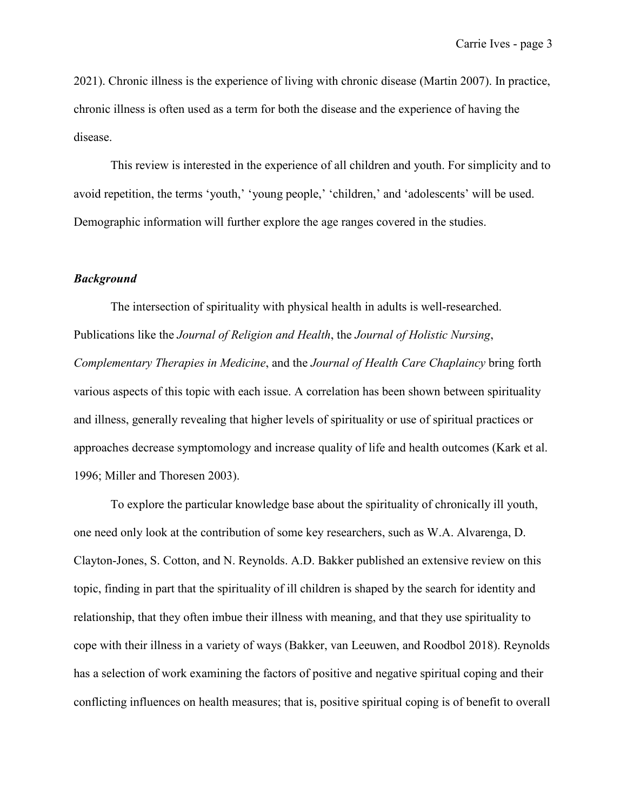[2021\).](https://paperpile.com/c/97wbJC/sU1F) Chronic illness is the experience of living with chronic disease [\(Martin 2007\).](https://paperpile.com/c/97wbJC/Zbpf) In practice, chronic illness is often used as a term for both the disease and the experience of having the disease.

This review is interested in the experience of all children and youth. For simplicity and to avoid repetition, the terms 'youth,' 'young people,' 'children,' and 'adolescents' will be used. Demographic information will further explore the age ranges covered in the studies.

#### *Background*

The intersection of spirituality with physical health in adults is well-researched. Publications like the *Journal of Religion and Health*, the *Journal of Holistic Nursing*, *Complementary Therapies in Medicine*, and the *Journal of Health Care Chaplaincy* bring forth various aspects of this topic with each issue. A correlation has been shown between spirituality and illness, generally revealing that higher levels of spirituality or use of spiritual practices or approaches decrease symptomology and increase quality of life and health outcomes [\(Kark et al.](https://paperpile.com/c/97wbJC/s2QJ+1Iho)  [1996; Miller and Thoresen 2003\).](https://paperpile.com/c/97wbJC/s2QJ+1Iho)

To explore the particular knowledge base about the spirituality of chronically ill youth, one need only look at the contribution of some key researchers, such as W.A. Alvarenga, D. Clayton-Jones, S. Cotton, and N. Reynolds. A.D. Bakker published an extensive review on this topic, finding in part that the spirituality of ill children is shaped by the search for identity and relationship, that they often imbue their illness with meaning, and that they use spirituality to cope with their illness in a variety of ways [\(Bakker, van Leeuwen, and Roodbol 2018\).](https://paperpile.com/c/97wbJC/IW1f) Reynolds has a selection of work examining the factors of positive and negative spiritual coping and their conflicting influences on health measures; that is, positive spiritual coping is of benefit to overall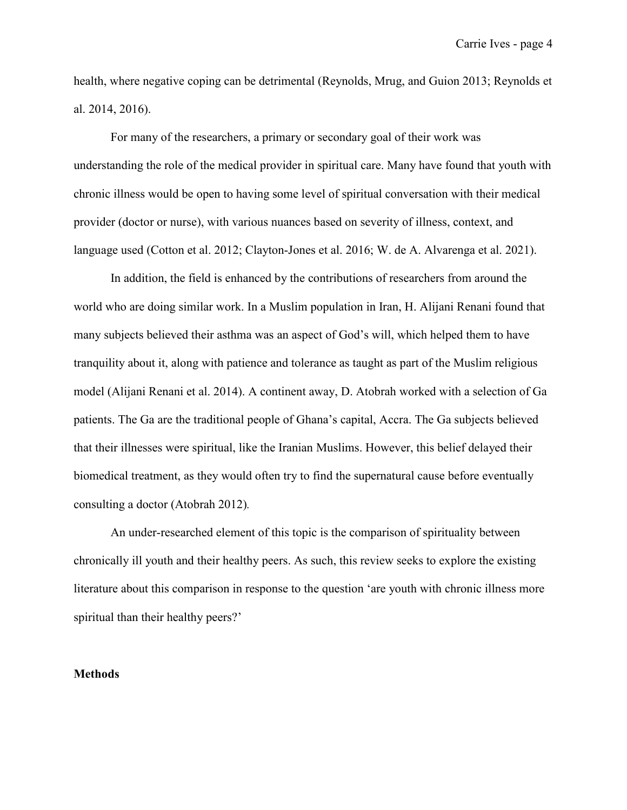health, where negative coping can be detrimental [\(Reynolds, Mrug, and Guion 2013; Reynolds et](https://paperpile.com/c/97wbJC/pJaB+yBM4+raIf)  [al. 2014, 2016\).](https://paperpile.com/c/97wbJC/pJaB+yBM4+raIf)

For many of the researchers, a primary or secondary goal of their work was understanding the role of the medical provider in spiritual care. Many have found that youth with chronic illness would be open to having some level of spiritual conversation with their medical provider (doctor or nurse), with various nuances based on severity of illness, context, and language used [\(Cotton et al. 2012; Clayton-Jones et al. 2016; W. de A. Alvarenga et al. 2021\).](https://paperpile.com/c/97wbJC/D2Sm+moYY+hFDy)

In addition, the field is enhanced by the contributions of researchers from around the world who are doing similar work. In a Muslim population in Iran, H. Alijani Renani found that many subjects believed their asthma was an aspect of God's will, which helped them to have tranquility about it, along with patience and tolerance as taught as part of the Muslim religious model [\(Alijani Renani et al. 2014\).](https://paperpile.com/c/97wbJC/DWEq) A continent away, D. Atobrah worked with a selection of Ga patients. The Ga are the traditional people of Ghana's capital, Accra. The Ga subjects believed that their illnesses were spiritual, like the Iranian Muslims. However, this belief delayed their biomedical treatment, as they would often try to find the supernatural cause before eventually consulting a doctor [\(Atobrah 2012\)](https://paperpile.com/c/97wbJC/bqAz)*.*

An under-researched element of this topic is the comparison of spirituality between chronically ill youth and their healthy peers. As such, this review seeks to explore the existing literature about this comparison in response to the question 'are youth with chronic illness more spiritual than their healthy peers?'

#### **Methods**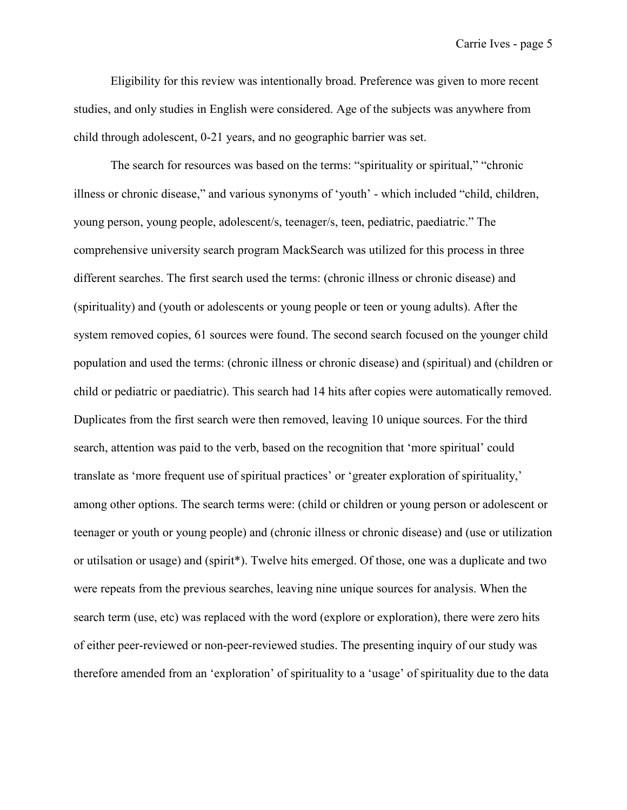Eligibility for this review was intentionally broad. Preference was given to more recent studies, and only studies in English were considered. Age of the subjects was anywhere from child through adolescent, 0-21 years, and no geographic barrier was set.

The search for resources was based on the terms: "spirituality or spiritual," "chronic illness or chronic disease," and various synonyms of 'youth' - which included "child, children, young person, young people, adolescent/s, teenager/s, teen, pediatric, paediatric." The comprehensive university search program MackSearch was utilized for this process in three different searches. The first search used the terms: (chronic illness or chronic disease) and (spirituality) and (youth or adolescents or young people or teen or young adults). After the system removed copies, 61 sources were found. The second search focused on the younger child population and used the terms: (chronic illness or chronic disease) and (spiritual) and (children or child or pediatric or paediatric). This search had 14 hits after copies were automatically removed. Duplicates from the first search were then removed, leaving 10 unique sources. For the third search, attention was paid to the verb, based on the recognition that 'more spiritual' could translate as 'more frequent use of spiritual practices' or 'greater exploration of spirituality,' among other options. The search terms were: (child or children or young person or adolescent or teenager or youth or young people) and (chronic illness or chronic disease) and (use or utilization or utilsation or usage) and (spirit\*). Twelve hits emerged. Of those, one was a duplicate and two were repeats from the previous searches, leaving nine unique sources for analysis. When the search term (use, etc) was replaced with the word (explore or exploration), there were zero hits of either peer-reviewed or non-peer-reviewed studies. The presenting inquiry of our study was therefore amended from an 'exploration' of spirituality to a 'usage' of spirituality due to the data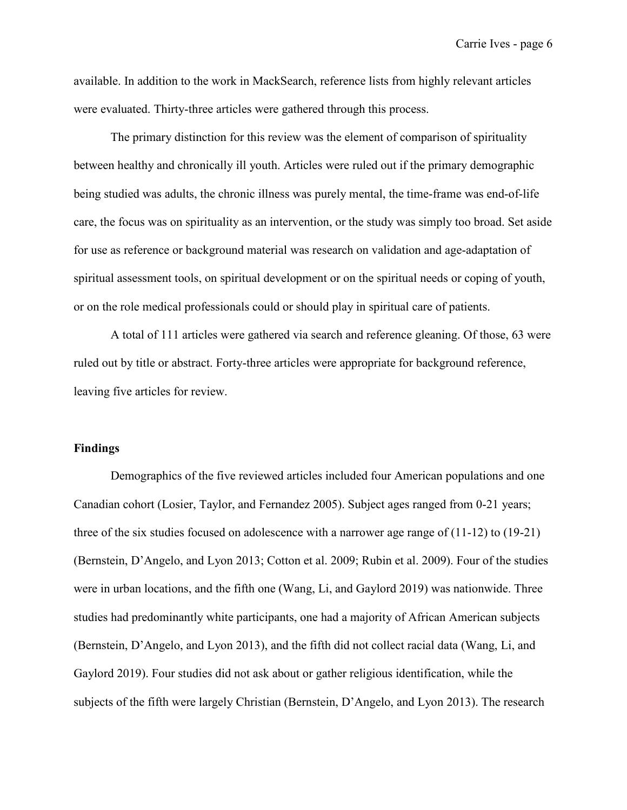available. In addition to the work in MackSearch, reference lists from highly relevant articles were evaluated. Thirty-three articles were gathered through this process.

The primary distinction for this review was the element of comparison of spirituality between healthy and chronically ill youth. Articles were ruled out if the primary demographic being studied was adults, the chronic illness was purely mental, the time-frame was end-of-life care, the focus was on spirituality as an intervention, or the study was simply too broad. Set aside for use as reference or background material was research on validation and age-adaptation of spiritual assessment tools, on spiritual development or on the spiritual needs or coping of youth, or on the role medical professionals could or should play in spiritual care of patients.

A total of 111 articles were gathered via search and reference gleaning. Of those, 63 were ruled out by title or abstract. Forty-three articles were appropriate for background reference, leaving five articles for review.

#### **Findings**

Demographics of the five reviewed articles included four American populations and one Canadian cohort [\(Losier, Taylor, and Fernandez 2005\).](https://paperpile.com/c/97wbJC/Ebuw) Subject ages ranged from 0-21 years; three of the six studies focused on adolescence with a narrower age range of (11-12) to (19-21) [\(Bernstein, D'Angelo, and Lyon 2013; Cotton et al. 2009; Rubin et al. 2009\).](https://paperpile.com/c/97wbJC/zWDk+iBuE+mv9v) Four of the studies were in urban locations, and the fifth one [\(Wang, Li, and Gaylord 2019\)](https://paperpile.com/c/97wbJC/xhlL) was nationwide. Three studies had predominantly white participants, one had a majority of African American subjects [\(Bernstein, D'Angelo, and Lyon 2013\),](https://paperpile.com/c/97wbJC/zWDk) and the fifth did not collect racial data [\(Wang, Li, and](https://paperpile.com/c/97wbJC/xhlL)  [Gaylord 2019\).](https://paperpile.com/c/97wbJC/xhlL) Four studies did not ask about or gather religious identification, while the subjects of the fifth were largely Christian [\(Bernstein, D'Angelo, and Lyon 2013\).](https://paperpile.com/c/97wbJC/zWDk) The research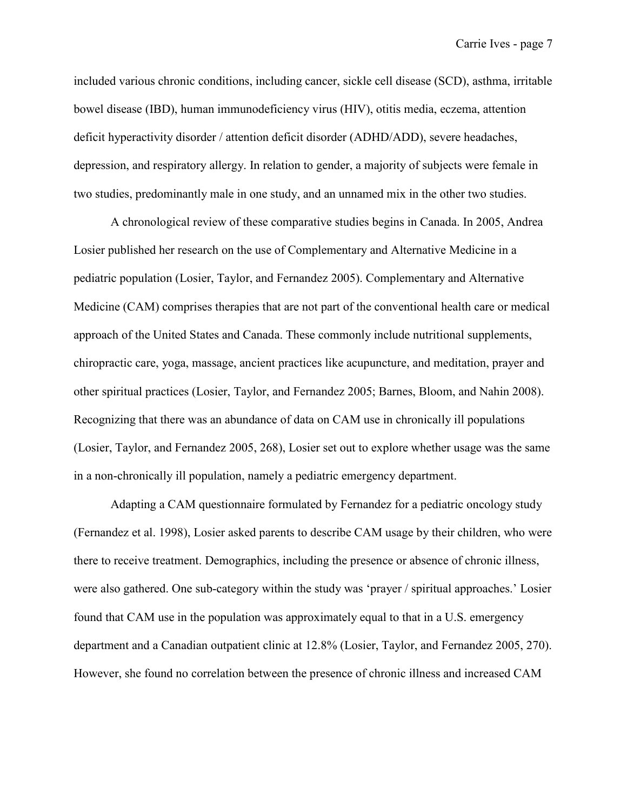included various chronic conditions, including cancer, sickle cell disease (SCD), asthma, irritable bowel disease (IBD), human immunodeficiency virus (HIV), otitis media, eczema, attention deficit hyperactivity disorder / attention deficit disorder (ADHD/ADD), severe headaches, depression, and respiratory allergy. In relation to gender, a majority of subjects were female in two studies, predominantly male in one study, and an unnamed mix in the other two studies.

A chronological review of these comparative studies begins in Canada. In 2005, Andrea Losier published her research on the use of Complementary and Alternative Medicine in a pediatric population [\(Losier, Taylor, and Fernandez 2005\).](https://paperpile.com/c/97wbJC/Ebuw) Complementary and Alternative Medicine (CAM) comprises therapies that are not part of the conventional health care or medical approach of the United States and Canada. These commonly include nutritional supplements, chiropractic care, yoga, massage, ancient practices like acupuncture, and meditation, prayer and other spiritual practices [\(Losier, Taylor, and Fernandez 2005; Barnes, Bloom, and Nahin 2008\).](https://paperpile.com/c/97wbJC/Ebuw+2b9q) Recognizing that there was an abundance of data on CAM use in chronically ill populations [\(Losier, Taylor, and Fernandez 2005, 268\),](https://paperpile.com/c/97wbJC/Ebuw/?locator=268) Losier set out to explore whether usage was the same in a non-chronically ill population, namely a pediatric emergency department.

Adapting a CAM questionnaire formulated by Fernandez for a pediatric oncology study [\(Fernandez et al. 1998\),](https://paperpile.com/c/97wbJC/KttG) Losier asked parents to describe CAM usage by their children, who were there to receive treatment. Demographics, including the presence or absence of chronic illness, were also gathered. One sub-category within the study was 'prayer / spiritual approaches.' Losier found that CAM use in the population was approximately equal to that in a U.S. emergency department and a Canadian outpatient clinic at 12.8% [\(Losier, Taylor, and Fernandez 2005, 270\).](https://paperpile.com/c/97wbJC/Ebuw/?locator=270) However, she found no correlation between the presence of chronic illness and increased CAM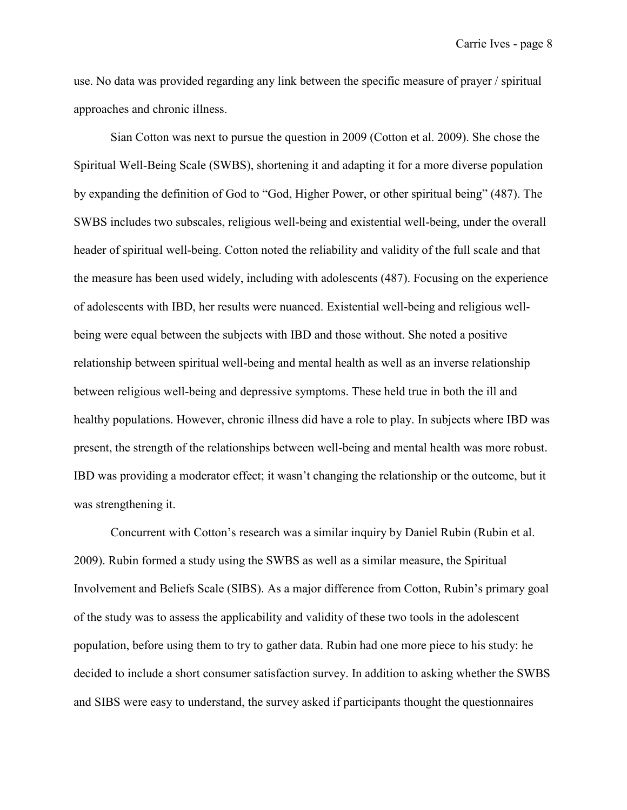use. No data was provided regarding any link between the specific measure of prayer / spiritual approaches and chronic illness.

Sian Cotton was next to pursue the question in 2009 [\(Cotton et al. 2009\).](https://paperpile.com/c/97wbJC/iBuE) She chose the Spiritual Well-Being Scale (SWBS), shortening it and adapting it for a more diverse population by expanding the definition of God to "God, Higher Power, or other spiritual being" (487). The SWBS includes two subscales, religious well-being and existential well-being, under the overall header of spiritual well-being. Cotton noted the reliability and validity of the full scale and that the measure has been used widely, including with adolescents (487). Focusing on the experience of adolescents with IBD, her results were nuanced. Existential well-being and religious wellbeing were equal between the subjects with IBD and those without. She noted a positive relationship between spiritual well-being and mental health as well as an inverse relationship between religious well-being and depressive symptoms. These held true in both the ill and healthy populations. However, chronic illness did have a role to play. In subjects where IBD was present, the strength of the relationships between well-being and mental health was more robust. IBD was providing a moderator effect; it wasn't changing the relationship or the outcome, but it was strengthening it.

Concurrent with Cotton's research was a similar inquiry by Daniel Rubin [\(Rubin](https://paperpile.com/c/97wbJC/mv9v) et al. [2009\).](https://paperpile.com/c/97wbJC/mv9v) Rubin formed a study using the SWBS as well as a similar measure, the Spiritual Involvement and Beliefs Scale (SIBS). As a major difference from Cotton, Rubin's primary goal of the study was to assess the applicability and validity of these two tools in the adolescent population, before using them to try to gather data. Rubin had one more piece to his study: he decided to include a short consumer satisfaction survey. In addition to asking whether the SWBS and SIBS were easy to understand, the survey asked if participants thought the questionnaires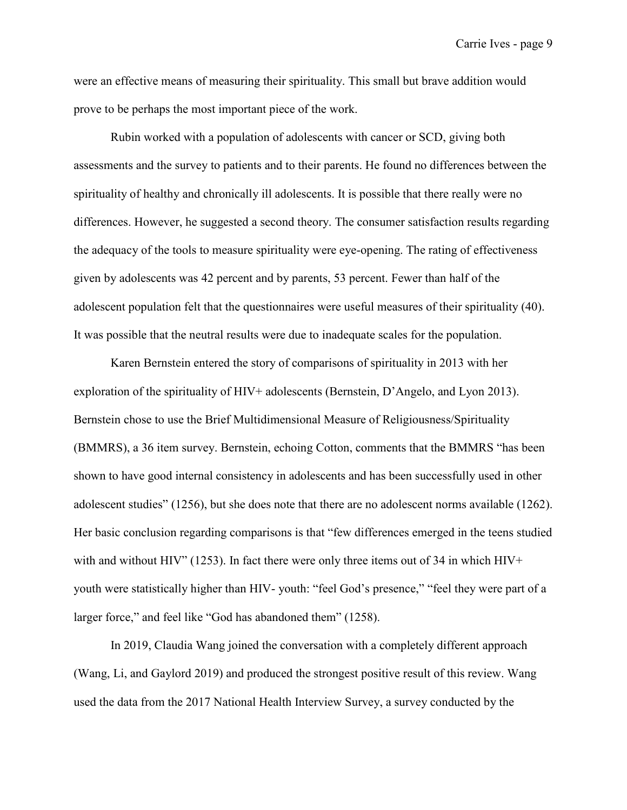were an effective means of measuring their spirituality. This small but brave addition would prove to be perhaps the most important piece of the work.

Rubin worked with a population of adolescents with cancer or SCD, giving both assessments and the survey to patients and to their parents. He found no differences between the spirituality of healthy and chronically ill adolescents. It is possible that there really were no differences. However, he suggested a second theory. The consumer satisfaction results regarding the adequacy of the tools to measure spirituality were eye-opening. The rating of effectiveness given by adolescents was 42 percent and by parents, 53 percent. Fewer than half of the adolescent population felt that the questionnaires were useful measures of their spirituality (40). It was possible that the neutral results were due to inadequate scales for the population.

Karen Bernstein entered the story of comparisons of spirituality in 2013 with her exploration of the spirituality of HIV+ adolescents [\(Bernstein, D'Angelo, and Lyon 2013\).](https://paperpile.com/c/97wbJC/zWDk) Bernstein chose to use the Brief Multidimensional Measure of Religiousness/Spirituality (BMMRS), a 36 item survey. Bernstein, echoing Cotton, comments that the BMMRS "has been shown to have good internal consistency in adolescents and has been successfully used in other adolescent studies" (1256), but she does note that there are no adolescent norms available (1262). Her basic conclusion regarding comparisons is that "few differences emerged in the teens studied with and without HIV" (1253). In fact there were only three items out of 34 in which HIV+ youth were statistically higher than HIV- youth: "feel God's presence," "feel they were part of a larger force," and feel like "God has abandoned them" (1258).

In 2019, Claudia Wang joined the conversation with a completely different approach [\(Wang, Li, and Gaylord 2019\)](https://paperpile.com/c/97wbJC/xhlL) and produced the strongest positive result of this review. Wang used the data from the 2017 National Health Interview Survey, a survey conducted by the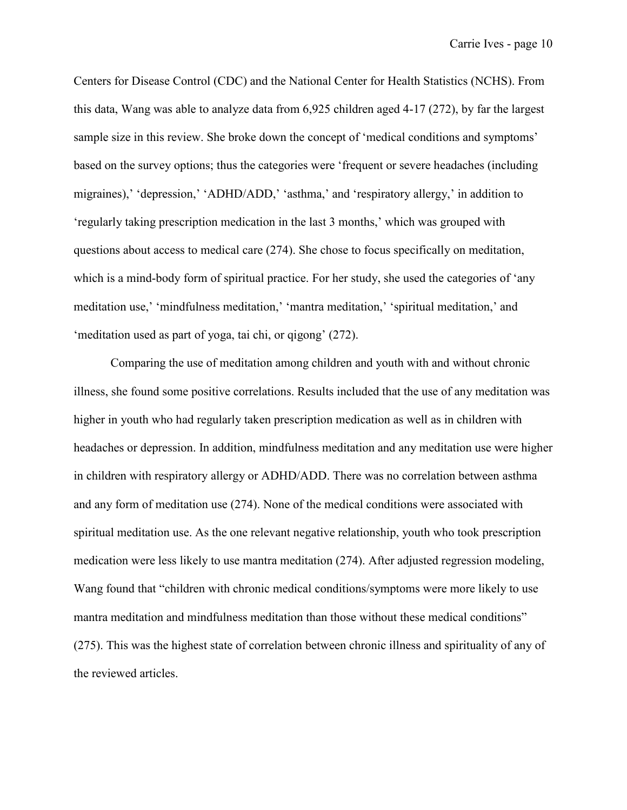Centers for Disease Control (CDC) and the National Center for Health Statistics (NCHS). From this data, Wang was able to analyze data from 6,925 children aged 4-17 (272), by far the largest sample size in this review. She broke down the concept of 'medical conditions and symptoms' based on the survey options; thus the categories were 'frequent or severe headaches (including migraines),' 'depression,' 'ADHD/ADD,' 'asthma,' and 'respiratory allergy,' in addition to 'regularly taking prescription medication in the last 3 months,' which was grouped with questions about access to medical care (274). She chose to focus specifically on meditation, which is a mind-body form of spiritual practice. For her study, she used the categories of 'any meditation use,' 'mindfulness meditation,' 'mantra meditation,' 'spiritual meditation,' and 'meditation used as part of yoga, tai chi, or qigong' (272).

Comparing the use of meditation among children and youth with and without chronic illness, she found some positive correlations. Results included that the use of any meditation was higher in youth who had regularly taken prescription medication as well as in children with headaches or depression. In addition, mindfulness meditation and any meditation use were higher in children with respiratory allergy or ADHD/ADD. There was no correlation between asthma and any form of meditation use (274). None of the medical conditions were associated with spiritual meditation use. As the one relevant negative relationship, youth who took prescription medication were less likely to use mantra meditation (274). After adjusted regression modeling, Wang found that "children with chronic medical conditions/symptoms were more likely to use mantra meditation and mindfulness meditation than those without these medical conditions" (275). This was the highest state of correlation between chronic illness and spirituality of any of the reviewed articles.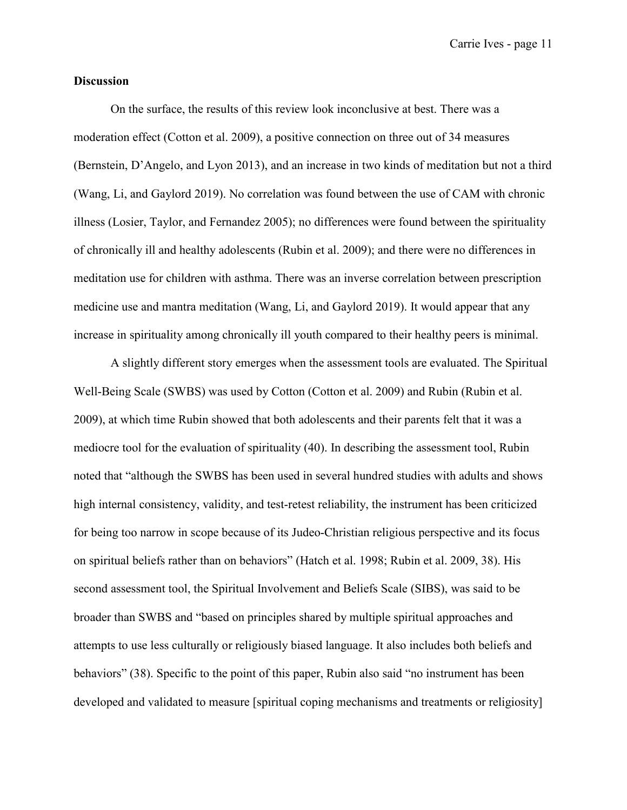#### **Discussion**

On the surface, the results of this review look inconclusive at best. There was a moderation effect [\(Cotton et al. 2009\),](https://paperpile.com/c/97wbJC/iBuE) a positive connection on three out of 34 measures [\(Bernstein, D'Angelo, and Lyon 2013\),](https://paperpile.com/c/97wbJC/zWDk) and an increase in two kinds of meditation but not a third [\(Wang, Li, and Gaylord 2019\).](https://paperpile.com/c/97wbJC/xhlL) No correlation was found between the use of CAM with chronic illness [\(Losier, Taylor, and Fernandez 2005\);](https://paperpile.com/c/97wbJC/Ebuw) no differences were found between the spirituality of chronically ill and healthy adolescents [\(Rubin et al. 2009\);](https://paperpile.com/c/97wbJC/mv9v) and there were no differences in meditation use for children with asthma. There was an inverse correlation between prescription medicine use and mantra meditation [\(Wang, Li, and Gaylord 2019\).](https://paperpile.com/c/97wbJC/xhlL) It would appear that any increase in spirituality among chronically ill youth compared to their healthy peers is minimal.

A slightly different story emerges when the assessment tools are evaluated. The Spiritual Well-Being Scale (SWBS) was used by Cotton [\(Cotton et al. 2009\)](https://paperpile.com/c/97wbJC/iBuE) and Rubin [\(Rubin et al.](https://paperpile.com/c/97wbJC/mv9v)  [2009\),](https://paperpile.com/c/97wbJC/mv9v) at which time Rubin showed that both adolescents and their parents felt that it was a mediocre tool for the evaluation of spirituality (40). In describing the assessment tool, Rubin noted that "although the SWBS has been used in several hundred studies with adults and shows high internal consistency, validity, and test-retest reliability, the instrument has been criticized for being too narrow in scope because of its Judeo-Christian religious perspective and its focus on spiritual beliefs rather than on behaviors" [\(Hatch et al. 1998; Rubin et al. 2009, 38\).](https://paperpile.com/c/97wbJC/ihAw+mv9v/?locator=,38) His second assessment tool, the Spiritual Involvement and Beliefs Scale (SIBS), was said to be broader than SWBS and "based on principles shared by multiple spiritual approaches and attempts to use less culturally or religiously biased language. It also includes both beliefs and behaviors" (38). Specific to the point of this paper, Rubin also said "no instrument has been developed and validated to measure [spiritual coping mechanisms and treatments or religiosity]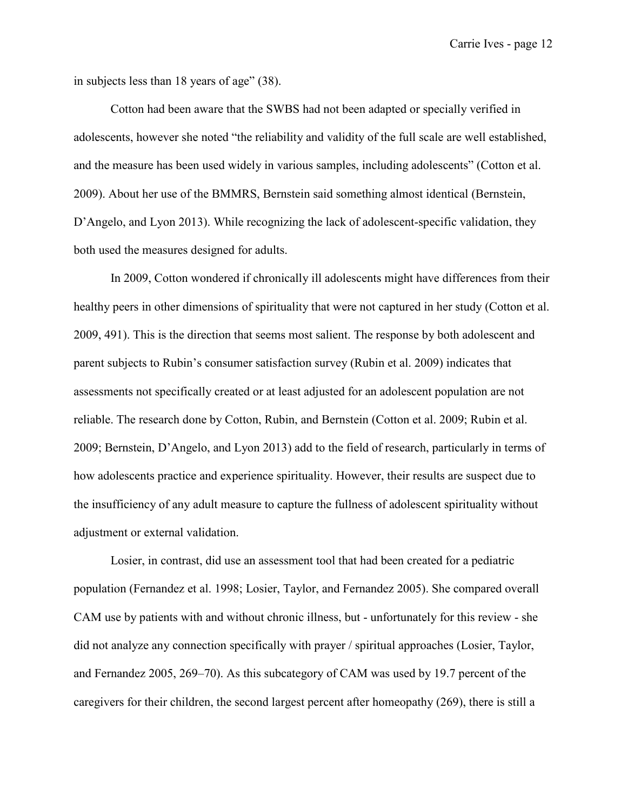in subjects less than 18 years of age" (38).

Cotton had been aware that the SWBS had not been adapted or specially verified in adolescents, however she noted "the reliability and validity of the full scale are well established, and the measure has been used widely in various samples, including adolescents" [\(Cotton et al.](https://paperpile.com/c/97wbJC/iBuE)  [2009\).](https://paperpile.com/c/97wbJC/iBuE) About her use of the BMMRS, Bernstein said something almost identical [\(Bernstein,](https://paperpile.com/c/97wbJC/zWDk)  [D'Angelo, and Lyon 2013\).](https://paperpile.com/c/97wbJC/zWDk) While recognizing the lack of adolescent-specific validation, they both used the measures designed for adults.

In 2009, Cotton wondered if chronically ill adolescents might have differences from their healthy peers in other dimensions of spirituality that were not captured in her study [\(Cotton et al.](https://paperpile.com/c/97wbJC/iBuE/?locator=491)  [2009, 491\).](https://paperpile.com/c/97wbJC/iBuE/?locator=491) This is the direction that seems most salient. The response by both adolescent and parent subjects to Rubin's consumer satisfaction survey [\(Rubin et al. 2009\)](https://paperpile.com/c/97wbJC/mv9v) indicates that assessments not specifically created or at least adjusted for an adolescent population are not reliable. The research done by Cotton, Rubin, and Bernstein [\(Cotton et al. 2009; Rubin et al.](https://paperpile.com/c/97wbJC/iBuE+mv9v+zWDk)  [2009; Bernstein, D'Angelo, and Lyon 2013\)](https://paperpile.com/c/97wbJC/iBuE+mv9v+zWDk) add to the field of research, particularly in terms of how adolescents practice and experience spirituality. However, their results are suspect due to the insufficiency of any adult measure to capture the fullness of adolescent spirituality without adjustment or external validation.

Losier, in contrast, did use an assessment tool that had been created for a pediatric population [\(Fernandez et al. 1998; Losier, Taylor, and Fernandez 2005\).](https://paperpile.com/c/97wbJC/KttG+Ebuw) She compared overall CAM use by patients with and without chronic illness, but - unfortunately for this review - she did not analyze any connection specifically with prayer / spiritual approaches [\(Losier, Taylor,](https://paperpile.com/c/97wbJC/Ebuw/?locator=269-70)  [and Fernandez 2005, 269–70\).](https://paperpile.com/c/97wbJC/Ebuw/?locator=269-70) As this subcategory of CAM was used by 19.7 percent of the caregivers for their children, the second largest percent after homeopathy (269), there is still a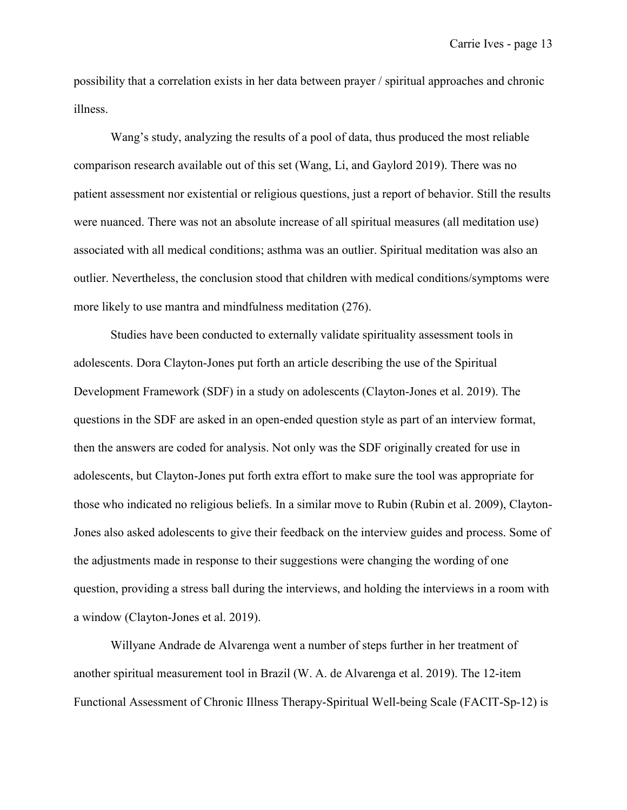possibility that a correlation exists in her data between prayer / spiritual approaches and chronic illness.

Wang's study, analyzing the results of a pool of data, thus produced the most reliable comparison research available out of this set [\(Wang, Li, and Gaylord 2019\).](https://paperpile.com/c/97wbJC/xhlL) There was no patient assessment nor existential or religious questions, just a report of behavior. Still the results were nuanced. There was not an absolute increase of all spiritual measures (all meditation use) associated with all medical conditions; asthma was an outlier. Spiritual meditation was also an outlier. Nevertheless, the conclusion stood that children with medical conditions/symptoms were more likely to use mantra and mindfulness meditation (276).

Studies have been conducted to externally validate spirituality assessment tools in adolescents. Dora Clayton-Jones put forth an article describing the use of the Spiritual Development Framework (SDF) in a study on adolescents [\(Clayton-Jones et al. 2019\).](https://paperpile.com/c/97wbJC/iXMi) The questions in the SDF are asked in an open-ended question style as part of an interview format, then the answers are coded for analysis. Not only was the SDF originally created for use in adolescents, but Clayton-Jones put forth extra effort to make sure the tool was appropriate for those who indicated no religious beliefs. In a similar move to Rubin [\(Rubin et al. 2009\),](https://paperpile.com/c/97wbJC/mv9v) Clayton-Jones also asked adolescents to give their feedback on the interview guides and process. Some of the adjustments made in response to their suggestions were changing the wording of one question, providing a stress ball during the interviews, and holding the interviews in a room with a window [\(Clayton-Jones et al. 2019\).](https://paperpile.com/c/97wbJC/iXMi)

Willyane Andrade de Alvarenga went a number of steps further in her treatment of another spiritual measurement tool in Brazil [\(W. A. de Alvarenga et al. 2019\).](https://paperpile.com/c/97wbJC/rZL1) The 12-item Functional Assessment of Chronic Illness Therapy-Spiritual Well-being Scale (FACIT-Sp-12) is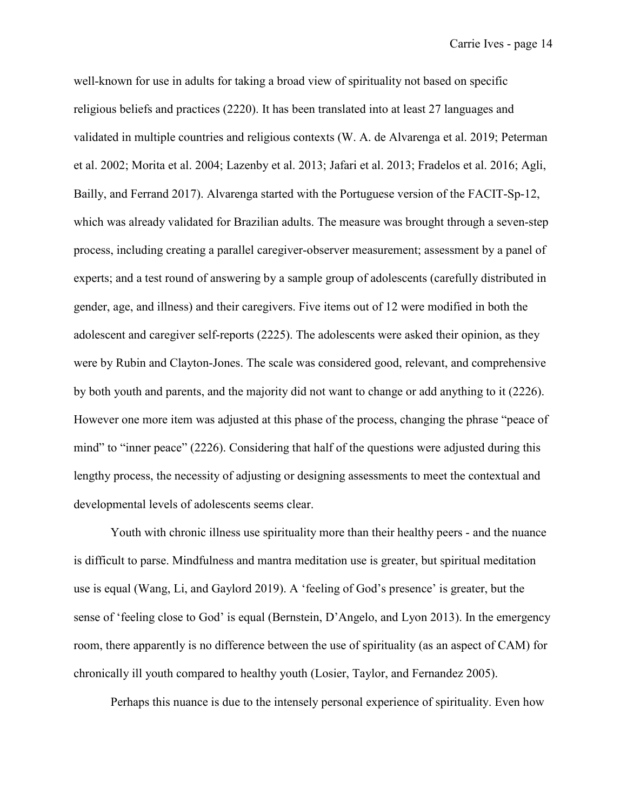well-known for use in adults for taking a broad view of spirituality not based on specific religious beliefs and practices (2220). It has been translated into at least 27 languages and validated in multiple countries and religious contexts [\(W. A. de Alvarenga et al. 2019; Peterman](https://paperpile.com/c/97wbJC/rZL1+yAuO+S9PP+EQj5+04Yb+F4eE+t54k)  [et al. 2002; Morita et al. 2004; Lazenby et al. 2013; Jafari et al. 2013; Fradelos et al. 2016; Agli,](https://paperpile.com/c/97wbJC/rZL1+yAuO+S9PP+EQj5+04Yb+F4eE+t54k)  [Bailly, and Ferrand 2017\).](https://paperpile.com/c/97wbJC/rZL1+yAuO+S9PP+EQj5+04Yb+F4eE+t54k) Alvarenga started with the Portuguese version of the FACIT-Sp-12, which was already validated for Brazilian adults. The measure was brought through a seven-step process, including creating a parallel caregiver-observer measurement; assessment by a panel of experts; and a test round of answering by a sample group of adolescents (carefully distributed in gender, age, and illness) and their caregivers. Five items out of 12 were modified in both the adolescent and caregiver self-reports (2225). The adolescents were asked their opinion, as they were by Rubin and Clayton-Jones. The scale was considered good, relevant, and comprehensive by both youth and parents, and the majority did not want to change or add anything to it (2226). However one more item was adjusted at this phase of the process, changing the phrase "peace of mind" to "inner peace" (2226). Considering that half of the questions were adjusted during this lengthy process, the necessity of adjusting or designing assessments to meet the contextual and developmental levels of adolescents seems clear.

Youth with chronic illness use spirituality more than their healthy peers - and the nuance is difficult to parse. Mindfulness and mantra meditation use is greater, but spiritual meditation use is equal [\(Wang, Li, and Gaylord 2019\).](https://paperpile.com/c/97wbJC/xhlL) A 'feeling of God's presence' is greater, but the sense of 'feeling close to God' is equal [\(Bernstein, D'Angelo, and Lyon 2013\).](https://paperpile.com/c/97wbJC/zWDk) In the emergency room, there apparently is no difference between the use of spirituality (as an aspect of CAM) for chronically ill youth compared to healthy youth [\(Losier, Taylor, and Fernandez 2005\).](https://paperpile.com/c/97wbJC/Ebuw)

Perhaps this nuance is due to the intensely personal experience of spirituality. Even how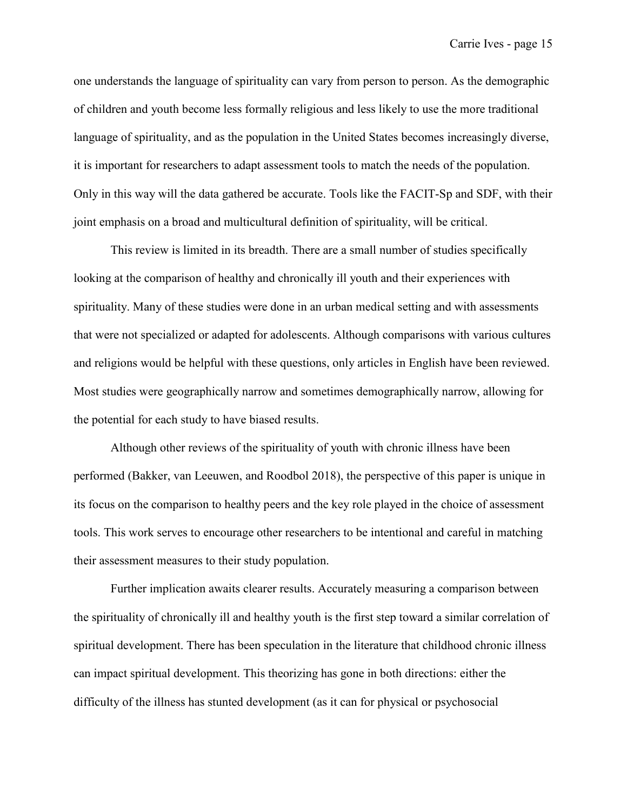one understands the language of spirituality can vary from person to person. As the demographic of children and youth become less formally religious and less likely to use the more traditional language of spirituality, and as the population in the United States becomes increasingly diverse, it is important for researchers to adapt assessment tools to match the needs of the population. Only in this way will the data gathered be accurate. Tools like the FACIT-Sp and SDF, with their joint emphasis on a broad and multicultural definition of spirituality, will be critical.

This review is limited in its breadth. There are a small number of studies specifically looking at the comparison of healthy and chronically ill youth and their experiences with spirituality. Many of these studies were done in an urban medical setting and with assessments that were not specialized or adapted for adolescents. Although comparisons with various cultures and religions would be helpful with these questions, only articles in English have been reviewed. Most studies were geographically narrow and sometimes demographically narrow, allowing for the potential for each study to have biased results.

Although other reviews of the spirituality of youth with chronic illness have been performed [\(Bakker, van Leeuwen, and Roodbol 2018\),](https://paperpile.com/c/97wbJC/IW1f) the perspective of this paper is unique in its focus on the comparison to healthy peers and the key role played in the choice of assessment tools. This work serves to encourage other researchers to be intentional and careful in matching their assessment measures to their study population.

Further implication awaits clearer results. Accurately measuring a comparison between the spirituality of chronically ill and healthy youth is the first step toward a similar correlation of spiritual development. There has been speculation in the literature that childhood chronic illness can impact spiritual development. This theorizing has gone in both directions: either the difficulty of the illness has stunted development (as it can for physical or psychosocial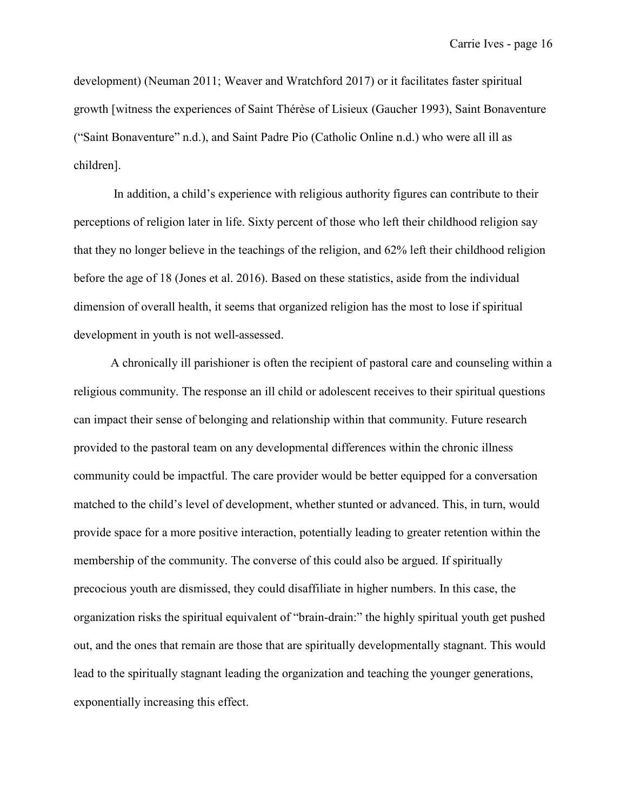development) [\(Neuman 2011; Weaver and Wratchford 2017\)](https://paperpile.com/c/97wbJC/RVdx+j6Sa) or it facilitates faster spiritual growth [witness the experiences of Saint Thérѐse of Lisieux [\(Gaucher 1993\),](https://paperpile.com/c/97wbJC/RPm6) Saint Bonaventure [\("Saint Bonaventure" n.d.\),](https://paperpile.com/c/97wbJC/u6NB) and Saint Padre Pio [\(Catholic Online n.d.\)](https://paperpile.com/c/97wbJC/VsGN) who were all ill as children].

In addition, a child's experience with religious authority figures can contribute to their perceptions of religion later in life. Sixty percent of those who left their childhood religion say that they no longer believe in the teachings of the religion, and 62% left their childhood religion before the age of 18 [\(Jones et al. 2016\).](https://paperpile.com/c/97wbJC/AK7X) Based on these statistics, aside from the individual dimension of overall health, it seems that organized religion has the most to lose if spiritual development in youth is not well-assessed.

A chronically ill parishioner is often the recipient of pastoral care and counseling within a religious community. The response an ill child or adolescent receives to their spiritual questions can impact their sense of belonging and relationship within that community. Future research provided to the pastoral team on any developmental differences within the chronic illness community could be impactful. The care provider would be better equipped for a conversation matched to the child's level of development, whether stunted or advanced. This, in turn, would provide space for a more positive interaction, potentially leading to greater retention within the membership of the community. The converse of this could also be argued. If spiritually precocious youth are dismissed, they could disaffiliate in higher numbers. In this case, the organization risks the spiritual equivalent of "brain-drain:" the highly spiritual youth get pushed out, and the ones that remain are those that are spiritually developmentally stagnant. This would lead to the spiritually stagnant leading the organization and teaching the younger generations, exponentially increasing this effect.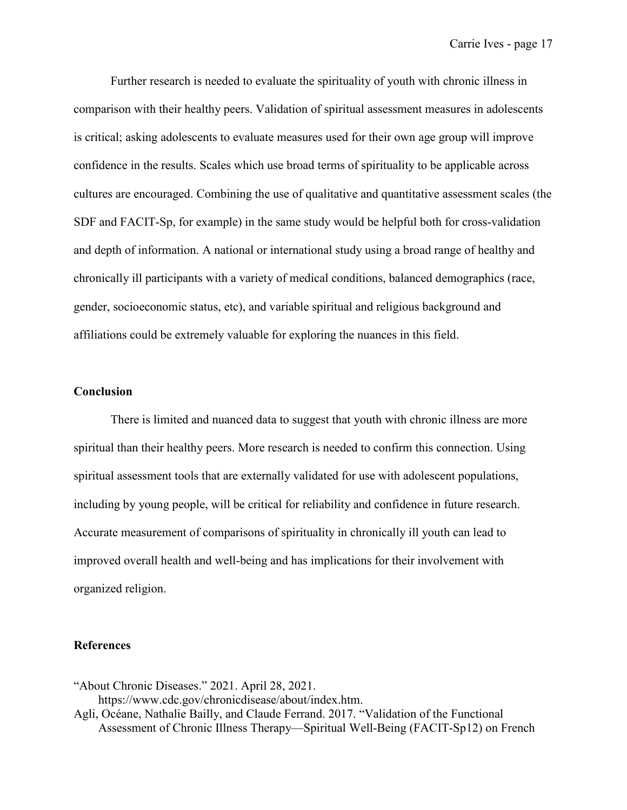Further research is needed to evaluate the spirituality of youth with chronic illness in comparison with their healthy peers. Validation of spiritual assessment measures in adolescents is critical; asking adolescents to evaluate measures used for their own age group will improve confidence in the results. Scales which use broad terms of spirituality to be applicable across cultures are encouraged. Combining the use of qualitative and quantitative assessment scales (the SDF and FACIT-Sp, for example) in the same study would be helpful both for cross-validation and depth of information. A national or international study using a broad range of healthy and chronically ill participants with a variety of medical conditions, balanced demographics (race, gender, socioeconomic status, etc), and variable spiritual and religious background and affiliations could be extremely valuable for exploring the nuances in this field.

#### **Conclusion**

There is limited and nuanced data to suggest that youth with chronic illness are more spiritual than their healthy peers. More research is needed to confirm this connection. Using spiritual assessment tools that are externally validated for use with adolescent populations, including by young people, will be critical for reliability and confidence in future research. Accurate measurement of comparisons of spirituality in chronically ill youth can lead to improved overall health and well-being and has implications for their involvement with organized religion.

#### **References**

["About Chronic Diseases." 2021. April 28, 2021.](http://paperpile.com/b/97wbJC/sU1F)  [https://www.cdc.gov/chronicdisease/about/index.htm.](https://www.cdc.gov/chronicdisease/about/index.htm)

[Agli, Océane, Nathalie Bailly, and Claude Ferrand. 2017. "Validation of the Functional](http://paperpile.com/b/97wbJC/t54k)  [Assessment of Chronic Illness Therapy—Spiritual Well-Being \(FACIT-Sp12\) on French](http://paperpile.com/b/97wbJC/t54k)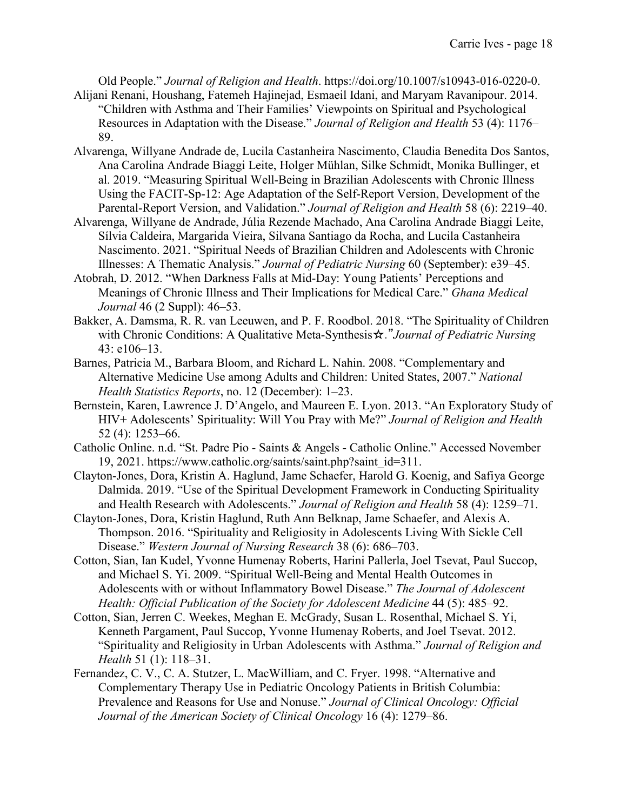[Old People."](http://paperpile.com/b/97wbJC/t54k) *[Journal of Religion and Health](http://paperpile.com/b/97wbJC/t54k)*[. https://doi.org/10.1007/s10943-016-0220-0.](http://paperpile.com/b/97wbJC/t54k)

- [Alijani Renani, Houshang, Fatemeh Hajinejad, Esmaeil Idani, and Maryam Ravanipour. 2014.](http://paperpile.com/b/97wbJC/DWEq)  ["Children with Asthma and Their Families' Viewpoints on Spiritual and Psychological](http://paperpile.com/b/97wbJC/DWEq)  [Resources in Adaptation with the Disease."](http://paperpile.com/b/97wbJC/DWEq) *[Journal of Religion and Health](http://paperpile.com/b/97wbJC/DWEq)* [53 \(4\): 1176–](http://paperpile.com/b/97wbJC/DWEq) [89.](http://paperpile.com/b/97wbJC/DWEq)
- [Alvarenga, Willyane Andrade de, Lucila Castanheira Nascimento, Claudia Benedita Dos Santos,](http://paperpile.com/b/97wbJC/rZL1)  [Ana Carolina Andrade Biaggi Leite, Holger Mühlan, Silke Schmidt, Monika Bullinger, et](http://paperpile.com/b/97wbJC/rZL1)  [al. 2019. "Measuring Spiritual Well-Being in Brazilian Adolescents with Chronic Illness](http://paperpile.com/b/97wbJC/rZL1)  [Using the FACIT-Sp-12: Age Adaptation of the Self-Report Version, Development of the](http://paperpile.com/b/97wbJC/rZL1)  [Parental-Report Version, and Validation."](http://paperpile.com/b/97wbJC/rZL1) *[Journal of Religion and Health](http://paperpile.com/b/97wbJC/rZL1)* [58 \(6\): 2219–40.](http://paperpile.com/b/97wbJC/rZL1)
- [Alvarenga, Willyane de Andrade, Júlia Rezende Machado, Ana Carolina Andrade Biaggi Leite,](http://paperpile.com/b/97wbJC/hFDy)  [Sílvia Caldeira, Margarida Vieira, Silvana Santiago da Rocha, and Lucila Castanheira](http://paperpile.com/b/97wbJC/hFDy)  [Nascimento. 2021. "Spiritual Needs of Brazilian Children and Adolescents with Chronic](http://paperpile.com/b/97wbJC/hFDy)  [Illnesses: A Thematic Analysis."](http://paperpile.com/b/97wbJC/hFDy) *[Journal of Pediatric Nursing](http://paperpile.com/b/97wbJC/hFDy)* [60 \(September\): e39–45.](http://paperpile.com/b/97wbJC/hFDy)
- [Atobrah, D. 2012. "When Darkness Falls at Mid-Day: Young Patients' Perceptions and](http://paperpile.com/b/97wbJC/bqAz)  [Meanings of Chronic Illness and Their Implications for Medical Care."](http://paperpile.com/b/97wbJC/bqAz) *[Ghana Medical](http://paperpile.com/b/97wbJC/bqAz)  [Journal](http://paperpile.com/b/97wbJC/bqAz)* [46 \(2 Suppl\): 46–53.](http://paperpile.com/b/97wbJC/bqAz)
- [Bakker, A. Damsma, R. R. van Leeuwen, and P. F. Roodbol. 2018. "The Spirituality of Children](http://paperpile.com/b/97wbJC/IW1f)  [with Chronic Conditions: A Qualitative Meta-Synthesis](http://paperpile.com/b/97wbJC/IW1f)☆." *[Journal of Pediatric Nursing](http://paperpile.com/b/97wbJC/IW1f)* [43: e106–13.](http://paperpile.com/b/97wbJC/IW1f)
- [Barnes, Patricia M., Barbara Bloom, and Richard L. Nahin. 2008. "Complementary and](http://paperpile.com/b/97wbJC/2b9q)  [Alternative Medicine Use among Adults and Children: United States, 2007."](http://paperpile.com/b/97wbJC/2b9q) *[National](http://paperpile.com/b/97wbJC/2b9q)  [Health Statistics Reports](http://paperpile.com/b/97wbJC/2b9q)*[, no. 12 \(December\): 1–23.](http://paperpile.com/b/97wbJC/2b9q)
- [Bernstein, Karen, Lawrence J. D'Angelo, and Maureen E. Lyon. 2013. "An Exploratory Study of](http://paperpile.com/b/97wbJC/zWDk)  [HIV+ Adolescents' Spirituality: Will You Pray with Me?"](http://paperpile.com/b/97wbJC/zWDk) *[Journal of Religion and Health](http://paperpile.com/b/97wbJC/zWDk)* [52 \(4\): 1253–66.](http://paperpile.com/b/97wbJC/zWDk)
- Catholic Online. n.d. "St. Padre Pio Saints & Angels [Catholic Online." Accessed November](http://paperpile.com/b/97wbJC/VsGN)  [19, 2021.](http://paperpile.com/b/97wbJC/VsGN) [https://www.catholic.org/saints/saint.php?saint\\_id=311.](https://www.catholic.org/saints/saint.php?saint_id=311)
- [Clayton-Jones, Dora, Kristin A. Haglund, Jame Schaefer, Harold G. Koenig, and Safiya George](http://paperpile.com/b/97wbJC/iXMi)  [Dalmida. 2019. "Use of the Spiritual Development Framework in Conducting Spirituality](http://paperpile.com/b/97wbJC/iXMi)  [and Health Research with Adolescents."](http://paperpile.com/b/97wbJC/iXMi) *[Journal of Religion and Health](http://paperpile.com/b/97wbJC/iXMi)* [58 \(4\): 1259–71.](http://paperpile.com/b/97wbJC/iXMi)
- [Clayton-Jones, Dora, Kristin Haglund, Ruth Ann Belknap, Jame Schaefer, and Alexis A.](http://paperpile.com/b/97wbJC/moYY)  [Thompson. 2016. "Spirituality and Religiosity in Adolescents Living With Sickle Cell](http://paperpile.com/b/97wbJC/moYY)  [Disease."](http://paperpile.com/b/97wbJC/moYY) *[Western Journal of Nursing Research](http://paperpile.com/b/97wbJC/moYY)* [38 \(6\): 686–703.](http://paperpile.com/b/97wbJC/moYY)
- [Cotton, Sian, Ian Kudel, Yvonne Humenay Roberts, Harini Pallerla, Joel Tsevat, Paul Succop,](http://paperpile.com/b/97wbJC/iBuE)  [and Michael S. Yi. 2009. "Spiritual Well-Being and Mental Health Outcomes in](http://paperpile.com/b/97wbJC/iBuE)  [Adolescents with or without Inflammatory Bowel Disease."](http://paperpile.com/b/97wbJC/iBuE) *[The Journal of Adolescent](http://paperpile.com/b/97wbJC/iBuE)  [Health: Official Publication of the Society for Adolescent Medicine](http://paperpile.com/b/97wbJC/iBuE)* [44 \(5\): 485–92.](http://paperpile.com/b/97wbJC/iBuE)
- [Cotton, Sian, Jerren C. Weekes, Meghan E. McGrady, Susan L. Rosenthal, Michael S. Yi,](http://paperpile.com/b/97wbJC/D2Sm)  [Kenneth Pargament, Paul Succop, Yvonne Humenay Roberts, and Joel Tsevat. 2012.](http://paperpile.com/b/97wbJC/D2Sm)  ["Spirituality and Religiosity in Urban Adolescents with Asthma."](http://paperpile.com/b/97wbJC/D2Sm) *[Journal of Religion and](http://paperpile.com/b/97wbJC/D2Sm)  [Health](http://paperpile.com/b/97wbJC/D2Sm)* [51 \(1\): 118–31.](http://paperpile.com/b/97wbJC/D2Sm)
- [Fernandez, C. V., C. A. Stutzer, L. MacWilliam, and C. Fryer. 1998. "Alternative and](http://paperpile.com/b/97wbJC/KttG)  [Complementary Therapy Use in Pediatric Oncology Patients in British Columbia:](http://paperpile.com/b/97wbJC/KttG)  [Prevalence and Reasons for Use and Nonuse."](http://paperpile.com/b/97wbJC/KttG) *[Journal of Clinical Oncology: Official](http://paperpile.com/b/97wbJC/KttG)  [Journal of the American Society of Clinical Oncology](http://paperpile.com/b/97wbJC/KttG)* [16 \(4\): 1279–86.](http://paperpile.com/b/97wbJC/KttG)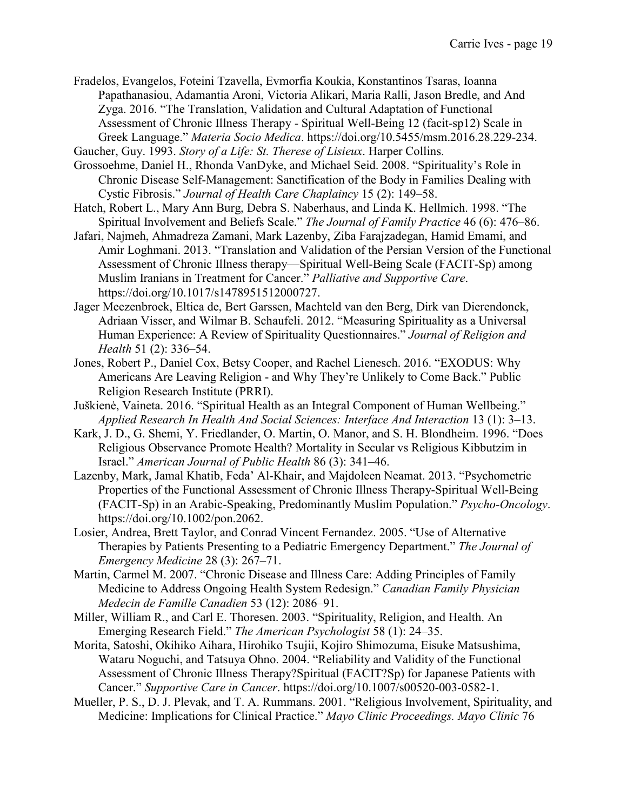[Fradelos, Evangelos, Foteini Tzavella, Evmorfia Koukia, Konstantinos Tsaras, Ioanna](http://paperpile.com/b/97wbJC/F4eE)  [Papathanasiou, Adamantia Aroni, Victoria Alikari, Maria Ralli, Jason Bredle, and And](http://paperpile.com/b/97wbJC/F4eE)  [Zyga. 2016. "The Translation, Validation and Cultural Adaptation of Functional](http://paperpile.com/b/97wbJC/F4eE)  Assessment of Chronic Illness Therapy - [Spiritual Well-Being 12 \(facit-sp12\) Scale in](http://paperpile.com/b/97wbJC/F4eE)  [Greek Language."](http://paperpile.com/b/97wbJC/F4eE) *[Materia Socio Medica](http://paperpile.com/b/97wbJC/F4eE)*[. https://doi.org/10.5455/msm.2016.28.229-234.](http://paperpile.com/b/97wbJC/F4eE)

[Gaucher, Guy. 1993.](http://paperpile.com/b/97wbJC/RPm6) *[Story of a Life: St. Therese of Lisieux](http://paperpile.com/b/97wbJC/RPm6)*[. Harper Collins.](http://paperpile.com/b/97wbJC/RPm6)

- [Grossoehme, Daniel H., Rhonda VanDyke, and Michael Seid. 2008. "Spirituality's Role in](http://paperpile.com/b/97wbJC/0rOe)  [Chronic Disease Self-Management: Sanctification of the Body in Families Dealing with](http://paperpile.com/b/97wbJC/0rOe)  [Cystic Fibrosis."](http://paperpile.com/b/97wbJC/0rOe) *[Journal of Health Care Chaplaincy](http://paperpile.com/b/97wbJC/0rOe)* [15 \(2\): 149–58.](http://paperpile.com/b/97wbJC/0rOe)
- [Hatch, Robert L., Mary Ann Burg, Debra S. Naberhaus, and Linda K. Hellmich. 1998. "The](http://paperpile.com/b/97wbJC/ihAw)  [Spiritual Involvement and Beliefs Scale."](http://paperpile.com/b/97wbJC/ihAw) *[The Journal of Family Practice](http://paperpile.com/b/97wbJC/ihAw)* [46 \(6\): 476–86.](http://paperpile.com/b/97wbJC/ihAw)
- [Jafari, Najmeh, Ahmadreza Zamani, Mark Lazenby, Ziba Farajzadegan, Hamid Emami, and](http://paperpile.com/b/97wbJC/04Yb)  [Amir Loghmani. 2013. "Translation and Validation of the Persian Version of the Functional](http://paperpile.com/b/97wbJC/04Yb)  [Assessment of Chronic Illness therapy—Spiritual Well-Being Scale \(FACIT-Sp\) among](http://paperpile.com/b/97wbJC/04Yb)  [Muslim Iranians in Treatment for Cancer."](http://paperpile.com/b/97wbJC/04Yb) *[Palliative and Supportive Care](http://paperpile.com/b/97wbJC/04Yb)*[.](http://paperpile.com/b/97wbJC/04Yb)  [https://doi.org/10.1017/s1478951512000727.](http://paperpile.com/b/97wbJC/04Yb)
- [Jager Meezenbroek, Eltica de, Bert Garssen, Machteld van den Berg, Dirk van Dierendonck,](http://paperpile.com/b/97wbJC/TPVX)  [Adriaan Visser, and Wilmar B. Schaufeli. 2012. "Measuring Spirituality as a Universal](http://paperpile.com/b/97wbJC/TPVX)  [Human Experience: A Review of Spirituality Questionnaires."](http://paperpile.com/b/97wbJC/TPVX) *[Journal of Religion and](http://paperpile.com/b/97wbJC/TPVX)  [Health](http://paperpile.com/b/97wbJC/TPVX)* [51 \(2\): 336–54.](http://paperpile.com/b/97wbJC/TPVX)
- [Jones, Robert P., Daniel Cox, Betsy Cooper, and Rachel Lienesch. 2016. "EXODUS: Why](http://paperpile.com/b/97wbJC/AK7X)  Americans Are Leaving Religion - [and Why They're Unlikely to Come Back." Public](http://paperpile.com/b/97wbJC/AK7X)  [Religion Research Institute \(PRRI\).](http://paperpile.com/b/97wbJC/AK7X)
- [Juškienė, Vaineta. 2016. "Spiritual Health as an Integral Compo](http://paperpile.com/b/97wbJC/Sla6)nent of Human Wellbeing." *[Applied Research In Health And Social Sciences: Interface And Interaction](http://paperpile.com/b/97wbJC/Sla6)* [13 \(1\): 3–13.](http://paperpile.com/b/97wbJC/Sla6)
- [Kark, J. D., G. Shemi, Y. Friedlander, O. Martin, O. Manor, and S. H. Blondheim. 1996. "Does](http://paperpile.com/b/97wbJC/s2QJ)  [Religious Observance Promote Health? Mortality in Secular vs Religious Kibbutzim in](http://paperpile.com/b/97wbJC/s2QJ)  [Israel."](http://paperpile.com/b/97wbJC/s2QJ) *[American Journal of Public Health](http://paperpile.com/b/97wbJC/s2QJ)* [86 \(3\): 341–46.](http://paperpile.com/b/97wbJC/s2QJ)
- [Lazenby, Mark, Jamal Khatib, Feda' Al-Khair, and Majdoleen Neamat. 2013. "Psychometric](http://paperpile.com/b/97wbJC/EQj5)  [Properties of the Functional Assessment of Chronic Illness Therapy-Spiritual Well-Being](http://paperpile.com/b/97wbJC/EQj5)  [\(FACIT-Sp\) in an Arabic-Speaking, Predominantly Muslim Population."](http://paperpile.com/b/97wbJC/EQj5) *[Psycho-Oncology](http://paperpile.com/b/97wbJC/EQj5)*[.](http://paperpile.com/b/97wbJC/EQj5)  [https://doi.org/](http://paperpile.com/b/97wbJC/EQj5)[10.1002/pon.2062.](http://dx.doi.org/10.1002/pon.2062)
- [Losier, Andrea, Brett Taylor, and Conrad Vincent Fernandez. 2005. "Use of Alternative](http://paperpile.com/b/97wbJC/Ebuw)  [Therapies by Patients Presenting to a Pediatric Emergency Department."](http://paperpile.com/b/97wbJC/Ebuw) *[The Journal of](http://paperpile.com/b/97wbJC/Ebuw)  [Emergency Medicine](http://paperpile.com/b/97wbJC/Ebuw)* [28 \(3\): 267–71.](http://paperpile.com/b/97wbJC/Ebuw)
- [Martin, Carmel M. 2007. "Chronic Disease and Illness Care: Adding Principles of Family](http://paperpile.com/b/97wbJC/Zbpf)  [Medicine to Address Ongoing Health System Redesign."](http://paperpile.com/b/97wbJC/Zbpf) *[Canadian Family Physician](http://paperpile.com/b/97wbJC/Zbpf)  [Medecin de Famille Canadien](http://paperpile.com/b/97wbJC/Zbpf)* [53 \(12\): 2086–91.](http://paperpile.com/b/97wbJC/Zbpf)
- [Miller, William R., and Carl E. Thoresen. 2003. "Spirituality, Religion, and Health. An](http://paperpile.com/b/97wbJC/1Iho)  [Emerging Research Field."](http://paperpile.com/b/97wbJC/1Iho) *[The American Psychologist](http://paperpile.com/b/97wbJC/1Iho)* [58 \(1\): 24–35.](http://paperpile.com/b/97wbJC/1Iho)
- [Morita, Satoshi, Okihiko Aihara, Hirohiko Tsujii, Kojiro Shimozuma, Eisuke Matsushima,](http://paperpile.com/b/97wbJC/S9PP)  [Wataru Noguchi, and Tatsuya Ohno. 2004. "Reliability and Validity of the Functional](http://paperpile.com/b/97wbJC/S9PP)  [Assessment of Chronic Illness Therapy?Spiritual \(FACIT?Sp\) for Japanese Patients with](http://paperpile.com/b/97wbJC/S9PP)  [Cancer."](http://paperpile.com/b/97wbJC/S9PP) *[Supportive Care in Cancer](http://paperpile.com/b/97wbJC/S9PP)*[. https://doi.org/](http://paperpile.com/b/97wbJC/S9PP)[10.1007/s00520-003-0582-1.](http://dx.doi.org/10.1007/s00520-003-0582-1)
- [Mueller, P. S., D. J. Plevak, and T. A. Rummans. 2001. "Religious Involvement, Spirituality, and](http://paperpile.com/b/97wbJC/NX81)  [Medicine: Implications for Clinical Practice."](http://paperpile.com/b/97wbJC/NX81) *[Mayo Clinic Proceedings. Mayo Clinic](http://paperpile.com/b/97wbJC/NX81)* [76](http://paperpile.com/b/97wbJC/NX81)